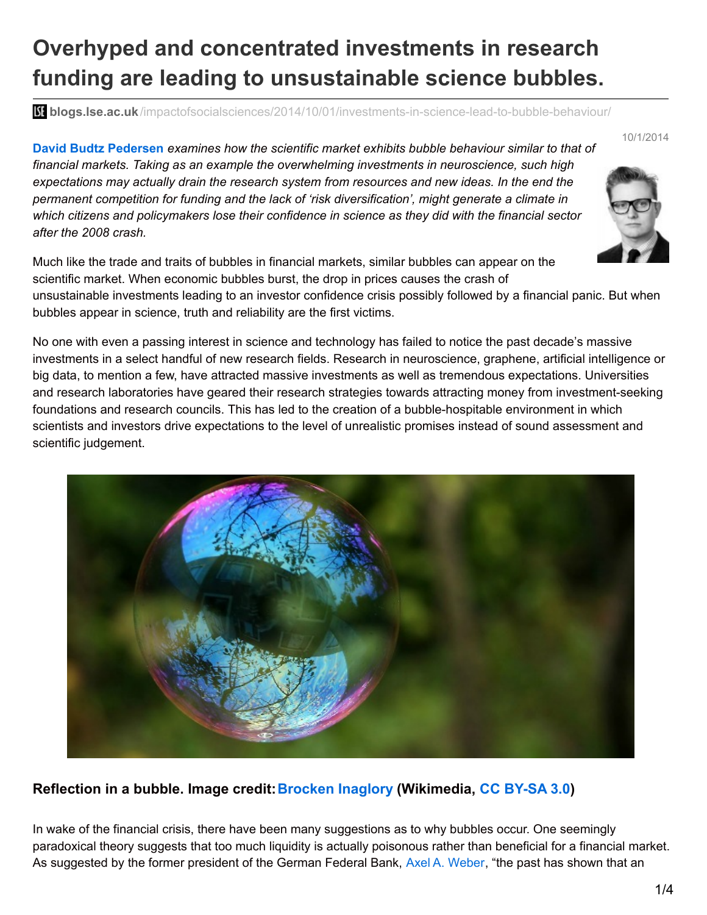## **Overhyped and concentrated investments in research funding are leading to unsustainable science bubbles.**

**blogs.lse.ac.uk**[/impactofsocialsciences/2014/10/01/investments-in-science-lead-to-bubble-behaviour/](http://blogs.lse.ac.uk/impactofsocialsciences/2014/10/01/investments-in-science-lead-to-bubble-behaviour/)

**David Budtz Pedersen** *examines how the scientific market exhibits bubble behaviour similar to that of financial markets. Taking as an example the overwhelming investments in neuroscience, such high expectations may actually drain the research system from resources and new ideas. In the end the permanent competition for funding and the lack of 'risk diversification', might generate a climate in which citizens and policymakers lose their confidence in science as they did with the financial sector after the 2008 crash.*



10/1/2014

Much like the trade and traits of bubbles in financial markets, similar bubbles can appear on the scientific market. When economic bubbles burst, the drop in prices causes the crash of unsustainable investments leading to an investor confidence crisis possibly followed by a financial panic. But when bubbles appear in science, truth and reliability are the first victims.

No one with even a passing interest in science and technology has failed to notice the past decade's massive investments in a select handful of new research fields. Research in neuroscience, graphene, artificial intelligence or big data, to mention a few, have attracted massive investments as well as tremendous expectations. Universities and research laboratories have geared their research strategies towards attracting money from investment-seeking foundations and research councils. This has led to the creation of a bubble-hospitable environment in which scientists and investors drive expectations to the level of unrealistic promises instead of sound assessment and scientific judgement.



## **Reflection in a bubble. Image credit:[Brocken](https://sites.google.com/site/thebrockeninglory/) Inaglory (Wikimedia, CC [BY-SA](http://creativecommons.org/licenses/by-sa/3.0/) 3.0)**

In wake of the financial crisis, there have been many suggestions as to why bubbles occur. One seemingly paradoxical theory suggests that too much liquidity is actually poisonous rather than beneficial for a financial market. As suggested by the former president of the German Federal Bank, Axel A. [Weber](http://www.bloomberg.com/apps/news?pid=newsarchive&sid=aqYJrIdvpmiM), "the past has shown that an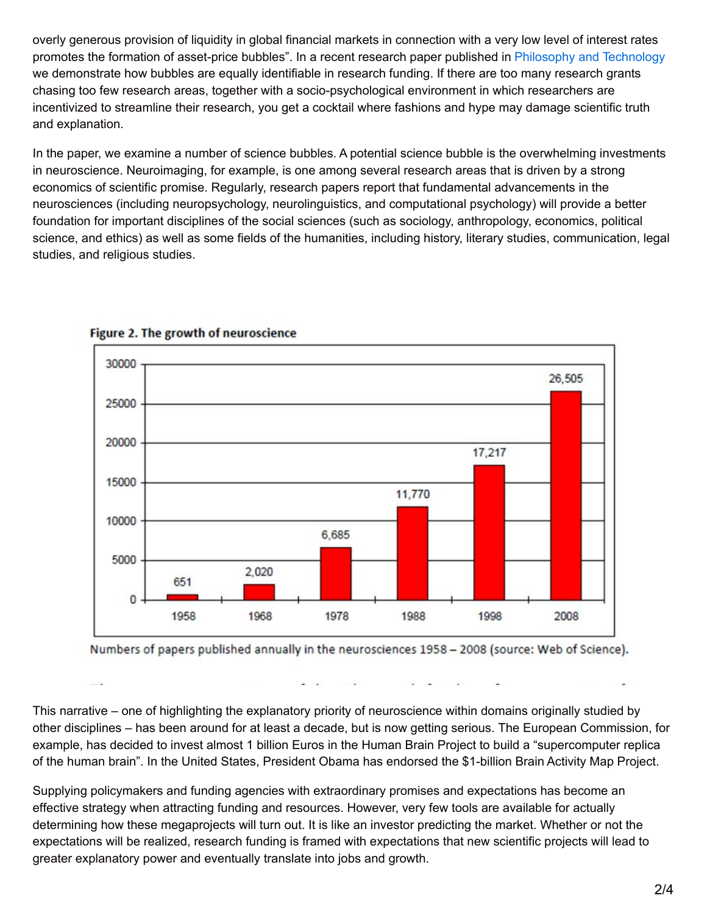overly generous provision of liquidity in global financial markets in connection with a very low level of interest rates promotes the formation of asset-price bubbles". In a recent research paper published in Philosophy and [Technology](http://link.springer.com/article/10.1007/s13347-013-0142-7) we demonstrate how bubbles are equally identifiable in research funding. If there are too many research grants chasing too few research areas, together with a socio-psychological environment in which researchers are incentivized to streamline their research, you get a cocktail where fashions and hype may damage scientific truth and explanation.

In the paper, we examine a number of science bubbles. A potential science bubble is the overwhelming investments in neuroscience. Neuroimaging, for example, is one among several research areas that is driven by a strong economics of scientific promise. Regularly, research papers report that fundamental advancements in the neurosciences (including neuropsychology, neurolinguistics, and computational psychology) will provide a better foundation for important disciplines of the social sciences (such as sociology, anthropology, economics, political science, and ethics) as well as some fields of the humanities, including history, literary studies, communication, legal studies, and religious studies.



## Figure 2. The growth of neuroscience

Numbers of papers published annually in the neurosciences 1958 - 2008 (source: Web of Science).

This narrative – one of highlighting the explanatory priority of neuroscience within domains originally studied by other disciplines – has been around for at least a decade, but is now getting serious. The European Commission, for example, has decided to invest almost 1 billion Euros in the Human Brain Project to build a "supercomputer replica of the human brain". In the United States, President Obama has endorsed the \$1-billion Brain Activity Map Project.

Supplying policymakers and funding agencies with extraordinary promises and expectations has become an effective strategy when attracting funding and resources. However, very few tools are available for actually determining how these megaprojects will turn out. It is like an investor predicting the market. Whether or not the expectations will be realized, research funding is framed with expectations that new scientific projects will lead to greater explanatory power and eventually translate into jobs and growth.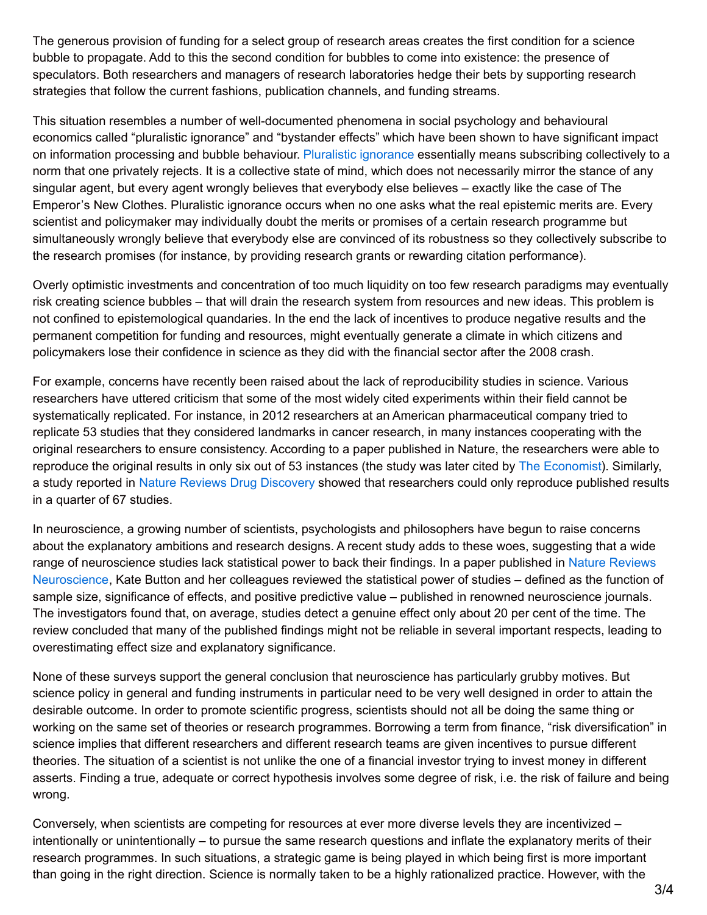The generous provision of funding for a select group of research areas creates the first condition for a science bubble to propagate. Add to this the second condition for bubbles to come into existence: the presence of speculators. Both researchers and managers of research laboratories hedge their bets by supporting research strategies that follow the current fashions, publication channels, and funding streams.

This situation resembles a number of well-documented phenomena in social psychology and behavioural economics called "pluralistic ignorance" and "bystander effects" which have been shown to have significant impact on information processing and bubble behaviour. Pluralistic [ignorance](http://onlinelibrary.wiley.com/doi/10.1111/meta.12028/full) essentially means subscribing collectively to a norm that one privately rejects. It is a collective state of mind, which does not necessarily mirror the stance of any singular agent, but every agent wrongly believes that everybody else believes – exactly like the case of The Emperor's New Clothes. Pluralistic ignorance occurs when no one asks what the real epistemic merits are. Every scientist and policymaker may individually doubt the merits or promises of a certain research programme but simultaneously wrongly believe that everybody else are convinced of its robustness so they collectively subscribe to the research promises (for instance, by providing research grants or rewarding citation performance).

Overly optimistic investments and concentration of too much liquidity on too few research paradigms may eventually risk creating science bubbles – that will drain the research system from resources and new ideas. This problem is not confined to epistemological quandaries. In the end the lack of incentives to produce negative results and the permanent competition for funding and resources, might eventually generate a climate in which citizens and policymakers lose their confidence in science as they did with the financial sector after the 2008 crash.

For example, concerns have recently been raised about the lack of reproducibility studies in science. Various researchers have uttered criticism that some of the most widely cited experiments within their field cannot be systematically replicated. For instance, in 2012 researchers at an American pharmaceutical company tried to replicate 53 studies that they considered landmarks in cancer research, in many instances cooperating with the original researchers to ensure consistency. According to a paper published in Nature, the researchers were able to reproduce the original results in only six out of 53 instances (the study was later cited by The [Economist](http://www.economist.com/news/briefing/21588057-scientists-think-science-self-correcting-alarming-degree-it-not-trouble)). Similarly, a study reported in Nature Reviews Drug [Discovery](http://www.nature.com/nrd/journal/v10/n9/full/nrd3439-c1.html) showed that researchers could only reproduce published results in a quarter of 67 studies.

In neuroscience, a growing number of scientists, psychologists and philosophers have begun to raise concerns about the explanatory ambitions and research designs. A recent study adds to these woes, suggesting that a wide range of neuroscience studies lack statistical power to back their findings. In a paper published in Nature Reviews [Neuroscience,](http://www.nature.com/nrn/journal/v14/n5/full/nrn3475.html) Kate Button and her colleagues reviewed the statistical power of studies – defined as the function of sample size, significance of effects, and positive predictive value – published in renowned neuroscience journals. The investigators found that, on average, studies detect a genuine effect only about 20 per cent of the time. The review concluded that many of the published findings might not be reliable in several important respects, leading to overestimating effect size and explanatory significance.

None of these surveys support the general conclusion that neuroscience has particularly grubby motives. But science policy in general and funding instruments in particular need to be very well designed in order to attain the desirable outcome. In order to promote scientific progress, scientists should not all be doing the same thing or working on the same set of theories or research programmes. Borrowing a term from finance, "risk diversification" in science implies that different researchers and different research teams are given incentives to pursue different theories. The situation of a scientist is not unlike the one of a financial investor trying to invest money in different asserts. Finding a true, adequate or correct hypothesis involves some degree of risk, i.e. the risk of failure and being wrong.

Conversely, when scientists are competing for resources at ever more diverse levels they are incentivized – intentionally or unintentionally – to pursue the same research questions and inflate the explanatory merits of their research programmes. In such situations, a strategic game is being played in which being first is more important than going in the right direction. Science is normally taken to be a highly rationalized practice. However, with the